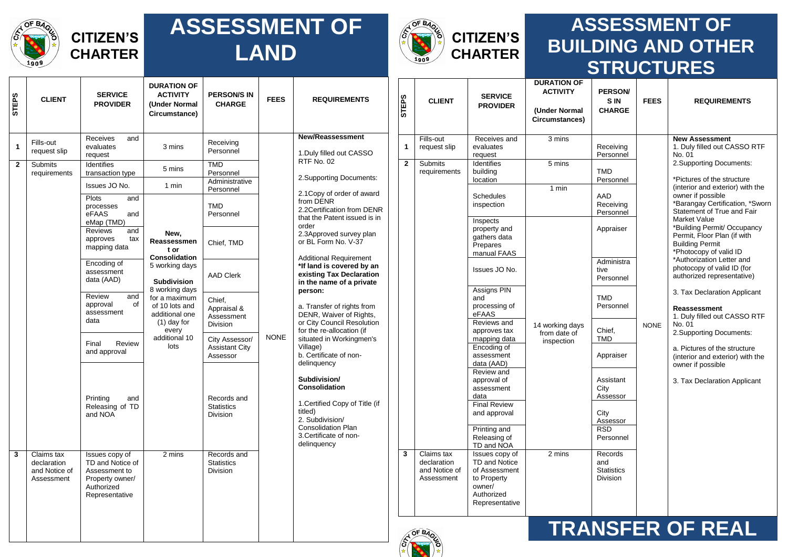

 $\overline{\phantom{0}}$ 

┱

#### **ASSESSMENT OF LAND**



┱

#### **ASSESSMENT OF BUILDING AND OTHER STRUCTURES DURATION OF**

| <b>STEPS</b> | <b>CLIENT</b>                                            | <b>SERVICE</b><br><b>PROVIDER</b>                                                                      | <b>DURATION OF</b><br><b>ACTIVITY</b><br>(Under Normal<br>Circumstance)              | <b>PERSON/S IN</b><br><b>CHARGE</b>          | <b>FEES</b> | <b>REQUIREMENTS</b>                                                                                                                                                           | <b>STEPS</b>                             | <b>CLIENT</b>                                            | <b>SERVICE</b><br><b>PROVIDER</b>                                                                         | ט ווטוואוטע<br><b>ACTIVITY</b><br>(Under Normal<br>Circumstances) | PERSON/<br><b>SIN</b><br><b>CHARGE</b>                 | <b>FEES</b>             | <b>REQUIREMENTS</b>                                                                                       |                                                                                        |           |  |                                                                                      |  |               |  |                                 |
|--------------|----------------------------------------------------------|--------------------------------------------------------------------------------------------------------|--------------------------------------------------------------------------------------|----------------------------------------------|-------------|-------------------------------------------------------------------------------------------------------------------------------------------------------------------------------|------------------------------------------|----------------------------------------------------------|-----------------------------------------------------------------------------------------------------------|-------------------------------------------------------------------|--------------------------------------------------------|-------------------------|-----------------------------------------------------------------------------------------------------------|----------------------------------------------------------------------------------------|-----------|--|--------------------------------------------------------------------------------------|--|---------------|--|---------------------------------|
| $\mathbf{1}$ | Fills-out<br>request slip                                | Receives<br>and<br>evaluates<br>request                                                                | 3 mins                                                                               | Receiving<br>Personnel                       |             | <b>New/Reassessment</b><br>1. Duly filled out CASSO                                                                                                                           | $\mathbf{1}$                             | Fills-out<br>request slip                                | Receives and<br>evaluates<br>request                                                                      | 3 mins                                                            | Receiving<br>Personnel                                 |                         | <b>New Assessment</b><br>1. Duly filled out CASSO RTF<br>No. 01                                           |                                                                                        |           |  |                                                                                      |  |               |  |                                 |
| $\mathbf{2}$ | Submits<br>requirements                                  | Identifies<br>transaction type                                                                         | 5 mins                                                                               | <b>TMD</b><br>Personnel<br>Administrative    |             | RTF No. 02                                                                                                                                                                    | $\mathbf{2}$<br>2. Supporting Documents: | Submits<br>requirements                                  | Identifies<br>building<br>location                                                                        | 5 mins                                                            | <b>TMD</b><br>Personnel                                |                         | 2. Supporting Documents:<br>*Pictures of the structure                                                    |                                                                                        |           |  |                                                                                      |  |               |  |                                 |
|              |                                                          | Issues JO No.                                                                                          | 1 min                                                                                | Personnel                                    |             | 2.1 Copy of order of award                                                                                                                                                    |                                          |                                                          |                                                                                                           | 1 min                                                             |                                                        |                         | (interior and exterior) with the                                                                          |                                                                                        |           |  |                                                                                      |  |               |  |                                 |
|              |                                                          | Plots<br>and<br>processes<br>eFAAS<br>and                                                              |                                                                                      | <b>TMD</b><br>Personnel                      |             | from DENR<br>2.2Certification from DENR<br>that the Patent issued is in                                                                                                       |                                          |                                                          | <b>Schedules</b><br>inspection<br>Inspects                                                                | AAD<br>Receiving<br>Personnel                                     |                                                        |                         | owner if possible<br>*Barangay Certification, *Sworn<br>Statement of True and Fair<br><b>Market Value</b> |                                                                                        |           |  |                                                                                      |  |               |  |                                 |
|              |                                                          | eMap (TMD)<br>Reviews<br>and<br>approves<br>tax<br>mapping data                                        | New,<br>Reassessmen<br>t or                                                          | Chief, TMD                                   |             | order<br>2.3Approved survey plan<br>or BL Form No. V-37<br><b>Additional Requirement</b><br>*If land is covered by an<br>existing Tax Declaration<br>in the name of a private |                                          |                                                          |                                                                                                           |                                                                   |                                                        |                         | property and<br>gathers data<br>Prepares<br>manual FAAS                                                   |                                                                                        | Appraiser |  | *Building Permit/ Occupancy<br>Permit, Floor Plan (if with<br><b>Building Permit</b> |  |               |  |                                 |
|              |                                                          | Encoding of<br>assessment<br>data (AAD)                                                                | <b>Consolidation</b><br>5 working days<br>Subdivision                                | <b>AAD Clerk</b>                             |             |                                                                                                                                                                               |                                          |                                                          |                                                                                                           |                                                                   |                                                        |                         |                                                                                                           |                                                                                        |           |  |                                                                                      |  | Issues JO No. |  | Administra<br>tive<br>Personnel |
|              |                                                          | Review<br>and<br>of<br>approval<br>assessment<br>data                                                  | 8 working days<br>for a maximum<br>of 10 lots and<br>additional one<br>$(1)$ day for | Chief,<br>Appraisal &<br>Assessment          |             | person:<br>a. Transfer of rights from<br>DENR, Waiver of Rights,<br>or City Council Resolution                                                                                |                                          |                                                          |                                                                                                           | Assigns PIN<br>and<br>processing of<br>eFAAS<br>Reviews and       |                                                        | <b>TMD</b><br>Personnel |                                                                                                           | 3. Tax Declaration Applicant<br>Reassessment<br>1. Duly filled out CASSO RTF<br>No. 01 |           |  |                                                                                      |  |               |  |                                 |
|              |                                                          |                                                                                                        | every<br>additional 10                                                               | Division<br>City Assessor/                   | <b>NONE</b> | for the re-allocation (if<br>situated in Workingmen's                                                                                                                         |                                          |                                                          | approves tax<br>mapping data                                                                              | 14 working days<br>from date of<br>inspection                     | Chief,<br><b>TMD</b>                                   | <b>NONE</b>             | 2. Supporting Documents:                                                                                  |                                                                                        |           |  |                                                                                      |  |               |  |                                 |
|              |                                                          | Review<br>Final<br>and approval                                                                        | lots                                                                                 | <b>Assistant City</b><br>Assessor            |             | Village)<br>b. Certificate of non-<br>delinquency                                                                                                                             |                                          |                                                          | Encoding of<br>assessment<br>data (AAD)                                                                   |                                                                   | Appraiser                                              |                         | a. Pictures of the structure<br>(interior and exterior) with the<br>owner if possible                     |                                                                                        |           |  |                                                                                      |  |               |  |                                 |
|              |                                                          | Printing<br>and                                                                                        |                                                                                      | Records and                                  |             | Subdivision/<br><b>Consolidation</b>                                                                                                                                          |                                          |                                                          | Review and<br>approval of<br>assessment<br>data                                                           |                                                                   | Assistant<br>City<br>Assessor                          |                         | 3. Tax Declaration Applicant                                                                              |                                                                                        |           |  |                                                                                      |  |               |  |                                 |
|              |                                                          | Releasing of TD<br>and NOA                                                                             |                                                                                      | <b>Statistics</b><br>Division                |             | 1. Certified Copy of Title (if<br>titled)<br>2. Subdivision/                                                                                                                  |                                          |                                                          | <b>Final Review</b><br>and approval                                                                       |                                                                   | City<br>Assessor                                       |                         |                                                                                                           |                                                                                        |           |  |                                                                                      |  |               |  |                                 |
|              |                                                          |                                                                                                        |                                                                                      |                                              |             | <b>Consolidation Plan</b><br>3. Certificate of non-<br>delinquency                                                                                                            |                                          |                                                          | Printing and<br>Releasing of<br>TD and NOA                                                                |                                                                   | <b>RSD</b><br>Personnel                                |                         |                                                                                                           |                                                                                        |           |  |                                                                                      |  |               |  |                                 |
| $\mathbf{3}$ | Claims tax<br>declaration<br>and Notice of<br>Assessment | Issues copy of<br>TD and Notice of<br>Assessment to<br>Property owner/<br>Authorized<br>Representative | 2 mins                                                                               | Records and<br><b>Statistics</b><br>Division |             |                                                                                                                                                                               | 3 <sup>1</sup>                           | Claims tax<br>declaration<br>and Notice of<br>Assessment | Issues copy of<br>TD and Notice<br>of Assessment<br>to Property<br>owner/<br>Authorized<br>Representative | 2 mins                                                            | Records<br>and<br><b>Statistics</b><br><b>Division</b> |                         |                                                                                                           |                                                                                        |           |  |                                                                                      |  |               |  |                                 |
|              |                                                          |                                                                                                        |                                                                                      |                                              |             |                                                                                                                                                                               |                                          | $\delta$                                                 |                                                                                                           |                                                                   |                                                        |                         | <b>TRANSFER OF REAL</b>                                                                                   |                                                                                        |           |  |                                                                                      |  |               |  |                                 |

৺ঌ **ROAD** 

倭

 $\Gamma$  $\overline{\phantom{a}}$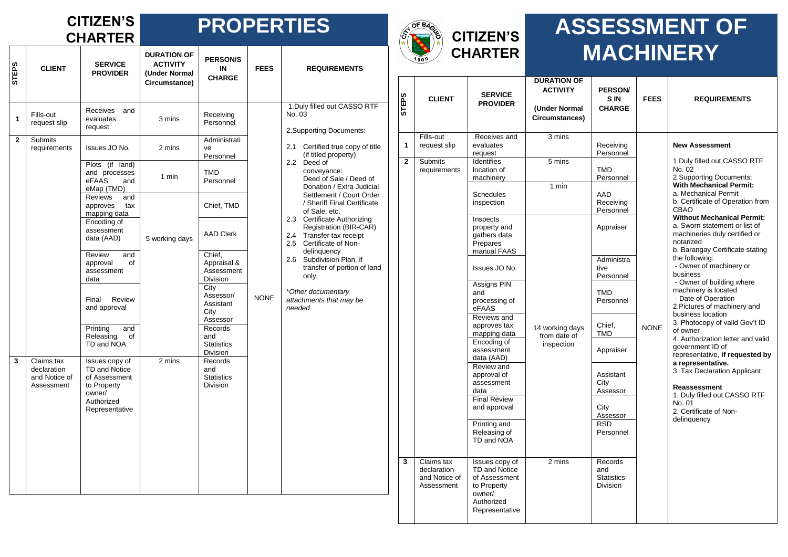## **CITIZEN'S**

#### **CHARTER PROPERTIES**

| <b>STEPS</b>   | <b>CLIENT</b>                                            | <b>SERVICE</b>                                                                                            | <b>DURATION OF</b>                                |                                                        |             |                                                                                                              | ,*∖          |
|----------------|----------------------------------------------------------|-----------------------------------------------------------------------------------------------------------|---------------------------------------------------|--------------------------------------------------------|-------------|--------------------------------------------------------------------------------------------------------------|--------------|
|                |                                                          | <b>PROVIDER</b>                                                                                           | <b>ACTIVITY</b><br>(Under Normal<br>Circumstance) | <b>PERSON/S</b><br>IN<br><b>CHARGE</b>                 | <b>FEES</b> | <b>REQUIREMENTS</b>                                                                                          |              |
| 1              | Fills-out<br>request slip                                | <b>Receives</b><br>and<br>evaluates<br>request                                                            | 3 mins                                            | Receiving<br>Personnel                                 |             | 1. Duly filled out CASSO RTF<br>No. 03<br>2. Supporting Documents:                                           | STEPS        |
| $\overline{2}$ | <b>Submits</b><br>requirements                           | Issues JO No.                                                                                             | 2 mins                                            | Administrati<br>ve<br>Personnel                        |             | 2.1<br>Certified true copy of title<br>(if titled property)                                                  | $\mathbf{1}$ |
|                |                                                          | Plots (if land)<br>and processes<br>eFAAS<br>and<br>eMap (TMD)                                            | 1 min                                             | <b>TMD</b><br>Personnel                                |             | 2.2 Deed of<br>conveyance:<br>Deed of Sale / Deed of<br>Donation / Extra Judicial                            | $\mathbf{2}$ |
|                |                                                          | Reviews<br>and<br>approves<br>tax<br>mapping data                                                         |                                                   | Chief, TMD                                             |             | Settlement / Court Order<br>/ Sheriff Final Certificate<br>of Sale, etc.                                     |              |
|                |                                                          | Encoding of<br>assessment<br>data (AAD)                                                                   | 5 working days                                    | <b>AAD Clerk</b>                                       |             | 2.3 Certificate Authorizing<br>Registration (BIR-CAR)<br>2.4 Transfer tax receipt<br>2.5 Certificate of Non- |              |
|                |                                                          | Review<br>and<br>approval<br>of<br>assessment<br>data                                                     |                                                   | Chief,<br>Appraisal &<br>Assessment<br>Division        |             | delinquency<br>Subdivision Plan, if<br>2.6<br>transfer of portion of land<br>only.                           |              |
|                |                                                          | Final<br>Review<br>and approval                                                                           |                                                   | City<br>Assessor/<br>Assistant<br>City<br>Assessor     | <b>NONE</b> | *Other documentary<br>attachments that may be<br>needed                                                      |              |
|                |                                                          | Printing<br>and<br>Releasing<br>of<br>TD and NOA                                                          |                                                   | Records<br>and<br><b>Statistics</b><br>Division        |             |                                                                                                              |              |
| 3              | Claims tax<br>declaration<br>and Notice of<br>Assessment | Issues copy of<br>TD and Notice<br>of Assessment<br>to Property<br>owner/<br>Authorized<br>Representative | 2 mins                                            | Records<br>and<br><b>Statistics</b><br><b>Division</b> |             |                                                                                                              |              |
|                |                                                          |                                                                                                           |                                                   |                                                        |             |                                                                                                              | $\mathbf{3}$ |
|                |                                                          |                                                                                                           |                                                   |                                                        |             |                                                                                                              |              |



### **ASSESSMENT OF MACHINERY**

| <b>STEPS</b> | <b>CLIENT</b>                                            | <b>SERVICE</b><br><b>PROVIDER</b>                                                                                | <b>DURATION OF</b><br><b>ACTIVITY</b><br>(Under Normal<br>Circumstances) | PERSON/<br>S IN<br><b>CHARGE</b>                       | <b>FEES</b> | <b>REQUIREMENTS</b>                                                                                                                                                                                                                                              |
|--------------|----------------------------------------------------------|------------------------------------------------------------------------------------------------------------------|--------------------------------------------------------------------------|--------------------------------------------------------|-------------|------------------------------------------------------------------------------------------------------------------------------------------------------------------------------------------------------------------------------------------------------------------|
| $\mathbf{1}$ | Fills-out<br>request slip                                | Receives and<br>evaluates<br>request                                                                             | 3 mins                                                                   | Receiving<br>Personnel                                 |             | <b>New Assessment</b>                                                                                                                                                                                                                                            |
| $\mathbf{2}$ | <b>Submits</b><br>requirements                           | <b>Identifies</b><br>location of<br>machinery                                                                    | 5 mins                                                                   | TMD<br>Personnel                                       |             | 1. Duly filled out CASSO RTF<br>No. 02<br>2.Supporting Documents:                                                                                                                                                                                                |
|              |                                                          | <b>Schedules</b><br>inspection                                                                                   | 1 min                                                                    | AAD<br>Receiving<br>Personnel                          |             | <b>With Mechanical Permit:</b><br>a. Mechanical Permit<br>b. Certificate of Operation from<br>CBAO                                                                                                                                                               |
|              |                                                          | Inspects<br>property and<br>gathers data<br>Prepares<br>manual FAAS                                              |                                                                          | Appraiser                                              |             | <b>Without Mechanical Permit:</b><br>a. Sworn statement or list of<br>machineries duly certified or<br>notarized<br>b. Barangay Certificate stating                                                                                                              |
|              |                                                          | Issues JO No.                                                                                                    |                                                                          | Administra<br>tive<br>Personnel                        |             | the following:<br>- Owner of machinery or<br>business                                                                                                                                                                                                            |
|              |                                                          | Assigns PIN<br>and<br>processing of<br>eFAAS                                                                     |                                                                          | TMD<br>Personnel                                       |             | - Owner of building where<br>machinery is located<br>- Date of Operation<br>2. Pictures of machinery and                                                                                                                                                         |
|              |                                                          | Reviews and<br>approves tax<br>mapping data                                                                      | 14 working days<br>from date of                                          | Chief,<br>TMD                                          | <b>NONE</b> | business location<br>3. Photocopy of valid Gov't ID<br>of owner<br>4. Authorization letter and valid<br>government ID of<br>representative, if requested by<br>a representative.<br>3. Tax Declaration Applicant<br>Reassessment<br>1. Duly filled out CASSO RTF |
|              |                                                          | Encoding of<br>assessment<br>data (AAD)                                                                          | inspection                                                               | Appraiser                                              |             |                                                                                                                                                                                                                                                                  |
|              |                                                          | Review and<br>approval of<br>assessment<br>data                                                                  |                                                                          | Assistant<br>City<br>Assessor                          |             |                                                                                                                                                                                                                                                                  |
|              |                                                          | <b>Final Review</b><br>and approval                                                                              |                                                                          | City<br>Assessor                                       |             | No. 01<br>2. Certificate of Non-<br>delinquency                                                                                                                                                                                                                  |
|              |                                                          | Printing and<br>Releasing of<br>TD and NOA                                                                       |                                                                          | <b>RSD</b><br>Personnel                                |             |                                                                                                                                                                                                                                                                  |
| 3            | Claims tax<br>declaration<br>and Notice of<br>Assessment | Issues copy of<br><b>TD and Notice</b><br>of Assessment<br>to Property<br>owner/<br>Authorized<br>Representative | 2 mins                                                                   | Records<br>and<br><b>Statistics</b><br><b>Division</b> |             |                                                                                                                                                                                                                                                                  |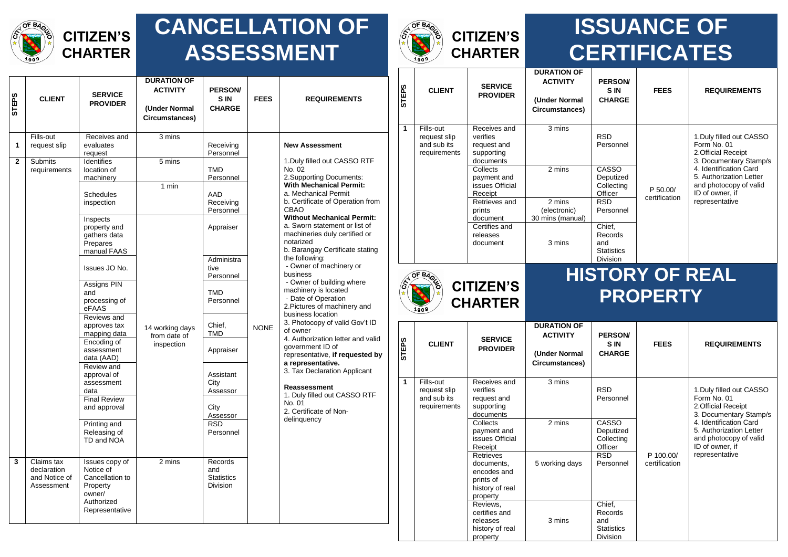

#### **CANCELLATION OF ASSESSMENT**



## **ISSUANCE OF CERTIFICATES**

| <b>SdB</b><br>5         | <b>CLIENT</b>                                            | <b>SERVICE</b><br><b>PROVIDER</b>                                                                    | <b>DURATION OF</b><br><b>ACTIVITY</b><br>(Under Normal<br>Circumstances) | <b>PERSON</b><br><b>SIN</b><br><b>CHARGE</b>           | <b>FEES</b> | <b>REQUIREMENTS</b>                                                                                                                                                                                                                                                                                                 |  |  |
|-------------------------|----------------------------------------------------------|------------------------------------------------------------------------------------------------------|--------------------------------------------------------------------------|--------------------------------------------------------|-------------|---------------------------------------------------------------------------------------------------------------------------------------------------------------------------------------------------------------------------------------------------------------------------------------------------------------------|--|--|
| 1                       | Fills-out<br>request slip                                | Receives and<br>evaluates<br>request                                                                 | 3 mins                                                                   | Receiving<br>Personnel                                 |             | <b>New Assessment</b>                                                                                                                                                                                                                                                                                               |  |  |
| $\overline{2}$          | <b>Submits</b><br>requirements                           | <b>Identifies</b><br>location of<br>machinery                                                        | 5 mins                                                                   | TMD<br>Personnel                                       |             | 1. Duly filled out CASSO RTF<br>No. 02<br>2. Supporting Documents:                                                                                                                                                                                                                                                  |  |  |
|                         |                                                          | <b>Schedules</b><br>inspection                                                                       | 1 min                                                                    | AAD<br>Receiving<br>Personnel                          |             | <b>With Mechanical Permit:</b><br>a. Mechanical Permit<br>b. Certificate of Operation from<br>CBAO                                                                                                                                                                                                                  |  |  |
|                         |                                                          | Inspects<br>property and<br>gathers data<br>Prepares<br>manual FAAS                                  |                                                                          | Appraiser                                              |             | <b>Without Mechanical Permit:</b><br>a. Sworn statement or list of<br>machineries duly certified or<br>notarized<br>b. Barangay Certificate stating                                                                                                                                                                 |  |  |
|                         |                                                          | Issues JO No.                                                                                        |                                                                          | Administra<br>tive<br>Personnel                        |             | the following:<br>- Owner of machinery or<br>business                                                                                                                                                                                                                                                               |  |  |
|                         |                                                          | Assigns PIN<br>and<br>processing of<br>eFAAS                                                         |                                                                          | TMD<br>Personnel                                       |             | - Owner of building where<br>machinery is located<br>- Date of Operation<br>2. Pictures of machinery and                                                                                                                                                                                                            |  |  |
|                         |                                                          | Reviews and<br>approves tax<br>mapping data                                                          | 14 working days<br>from date of<br>inspection                            | Chief,<br><b>TMD</b>                                   | <b>NONE</b> | business location<br>3. Photocopy of valid Gov't ID<br>of owner<br>4. Authorization letter and valid<br>government ID of<br>representative, if requested by<br>a representative.<br>3. Tax Declaration Applicant<br>Reassessment<br>1. Duly filled out CASSO RTF<br>No. 01<br>2. Certificate of Non-<br>delinquency |  |  |
|                         |                                                          | Encoding of<br>assessment<br>data (AAD)                                                              |                                                                          | Appraiser                                              |             |                                                                                                                                                                                                                                                                                                                     |  |  |
|                         |                                                          | Review and<br>approval of<br>assessment<br>data                                                      |                                                                          | Assistant<br>City<br>Assessor                          |             |                                                                                                                                                                                                                                                                                                                     |  |  |
|                         |                                                          | <b>Final Review</b><br>and approval                                                                  |                                                                          | City<br>Assessor                                       |             |                                                                                                                                                                                                                                                                                                                     |  |  |
|                         |                                                          | Printing and<br>Releasing of<br>TD and NOA                                                           |                                                                          | <b>RSD</b><br>Personnel                                |             |                                                                                                                                                                                                                                                                                                                     |  |  |
| $\overline{\mathbf{3}}$ | Claims tax<br>declaration<br>and Notice of<br>Assessment | Issues copy of<br>Notice of<br>Cancellation to<br>Property<br>owner/<br>Authorized<br>Representative | 2 mins                                                                   | Records<br>and<br><b>Statistics</b><br><b>Division</b> |             |                                                                                                                                                                                                                                                                                                                     |  |  |

| <b>STEPS</b>                                        | <b>CLIENT</b>                                            | <b>SERVICE</b><br><b>PROVIDER</b>                                  | <b>DURATION OF</b><br><b>ACTIVITY</b><br>(Under Normal<br>Circumstances) | <b>PERSON/</b><br>S IN<br><b>CHARGE</b>                          | <b>FEES</b>            | <b>REQUIREMENTS</b>                                                                            |  |
|-----------------------------------------------------|----------------------------------------------------------|--------------------------------------------------------------------|--------------------------------------------------------------------------|------------------------------------------------------------------|------------------------|------------------------------------------------------------------------------------------------|--|
| 1                                                   | Fills-out<br>request slip<br>and sub its<br>requirements | Receives and<br>verifies<br>request and<br>supporting<br>documents | 3 mins                                                                   | <b>RSD</b><br>Personnel                                          |                        | 1. Duly filled out CASSO<br>Form No. 01<br>2. Official Receipt<br>3. Documentary Stamp/s       |  |
|                                                     |                                                          | Collects<br>payment and<br>issues Official<br>Receipt              | 2 mins                                                                   | CASSO<br>Deputized<br>Collecting<br>Officer                      | P 50.00/               | 4. Identification Card<br>5. Authorization Letter<br>and photocopy of valid<br>ID of owner, if |  |
|                                                     |                                                          | Retrieves and<br>prints<br>document                                | 2 mins<br>(electronic)<br>30 mins (manual)                               | <b>RSD</b><br>Personnel                                          | certification          | representative                                                                                 |  |
|                                                     |                                                          | Certifies and<br>releases<br>document                              | 3 mins                                                                   | Chief,<br>Records<br>and<br><b>Statistics</b><br><b>Division</b> |                        |                                                                                                |  |
| OF BAOLS<br>$\hat{\mathscr{E}}$<br><b>CITIZEN'S</b> |                                                          |                                                                    |                                                                          |                                                                  | <b>HISTORY OF REAL</b> |                                                                                                |  |
| ŵ                                                   |                                                          |                                                                    | PROPERT                                                                  |                                                                  |                        |                                                                                                |  |



# **PROPERTY**

| <b>STEPS</b> | <b>CLIENT</b>                                            | <b>SERVICE</b><br><b>PROVIDER</b>                                                  | <b>DURATION OF</b><br><b>ACTIVITY</b><br>(Under Normal<br>Circumstances) | <b>PERSON/</b><br><b>SIN</b><br><b>CHARGE</b>             | <b>FEES</b>                | <b>REQUIREMENTS</b>                                                                                                |
|--------------|----------------------------------------------------------|------------------------------------------------------------------------------------|--------------------------------------------------------------------------|-----------------------------------------------------------|----------------------------|--------------------------------------------------------------------------------------------------------------------|
| 1            | Fills-out<br>request slip<br>and sub its<br>requirements | Receives and<br>verifies<br>request and<br>supporting<br>documents<br>Collects     | 3 mins<br>2 mins                                                         | <b>RSD</b><br>Personnel<br>CASSO                          |                            | 1. Duly filled out CASSO<br>Form No. 01<br>2. Official Receipt<br>3. Documentary Stamp/s<br>4. Identification Card |
|              |                                                          | payment and<br>issues Official<br>Receipt                                          |                                                                          | Deputized<br>Collecting<br>Officer                        |                            | 5. Authorization Letter<br>and photocopy of valid<br>ID of owner, if                                               |
|              |                                                          | Retrieves<br>documents,<br>encodes and<br>prints of<br>history of real<br>property | 5 working days                                                           | <b>RSD</b><br>Personnel                                   | P 100.00/<br>certification | representative                                                                                                     |
|              |                                                          | Reviews,<br>certifies and<br>releases<br>history of real<br>property               | 3 mins                                                                   | Chief,<br>Records<br>and<br><b>Statistics</b><br>Division |                            |                                                                                                                    |